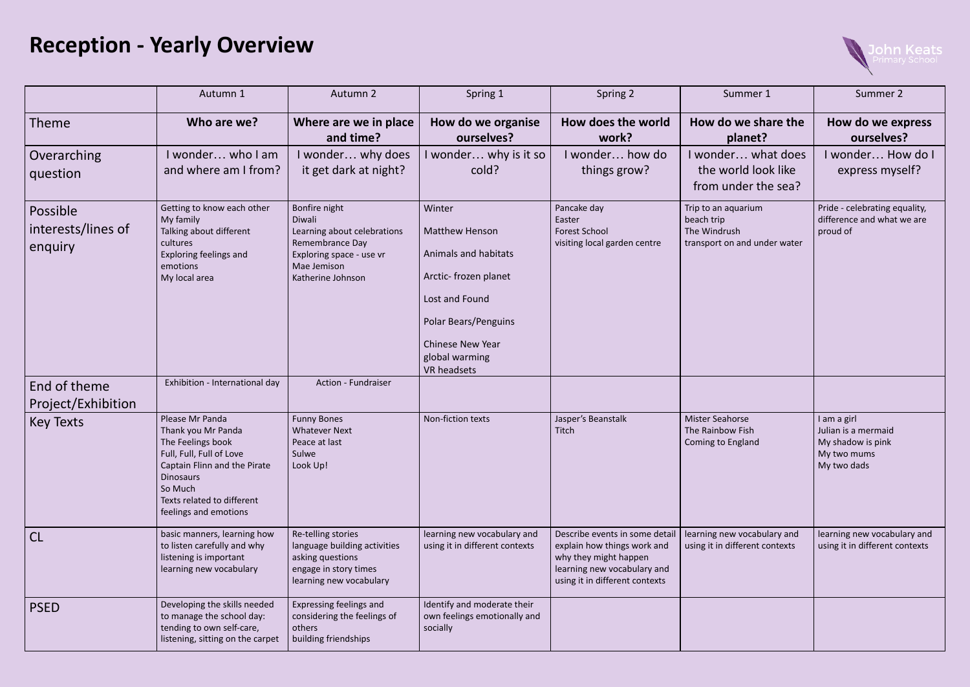## **Reception - Yearly Overview**

|                                           | Autumn 1                                                                                                                                                                                                     | Autumn 2                                                                                                                                  | Spring 1                                                                                                                                                                                      | Spring 2                                                                                                                                                | Summer 1                                                                          | Summer 2                                                                              |
|-------------------------------------------|--------------------------------------------------------------------------------------------------------------------------------------------------------------------------------------------------------------|-------------------------------------------------------------------------------------------------------------------------------------------|-----------------------------------------------------------------------------------------------------------------------------------------------------------------------------------------------|---------------------------------------------------------------------------------------------------------------------------------------------------------|-----------------------------------------------------------------------------------|---------------------------------------------------------------------------------------|
| <b>Theme</b>                              | Who are we?                                                                                                                                                                                                  | Where are we in place<br>and time?                                                                                                        | How do we organise<br>ourselves?                                                                                                                                                              | How does the world<br>work?                                                                                                                             | How do we share the<br>planet?                                                    | How do we express<br>ourselves?                                                       |
| Overarching<br>question                   | I wonder who I am<br>and where am I from?                                                                                                                                                                    | I wonder why does<br>it get dark at night?                                                                                                | I wonder why is it so<br>cold?                                                                                                                                                                | I wonder how do<br>things grow?                                                                                                                         | I wonder what does<br>the world look like<br>from under the sea?                  | I wonder How do I<br>express myself?                                                  |
| Possible<br>interests/lines of<br>enquiry | Getting to know each other<br>My family<br>Talking about different<br>cultures<br>Exploring feelings and<br>emotions<br>My local area                                                                        | Bonfire night<br>Diwali<br>Learning about celebrations<br>Remembrance Day<br>Exploring space - use vr<br>Mae Jemison<br>Katherine Johnson | Winter<br><b>Matthew Henson</b><br>Animals and habitats<br>Arctic- frozen planet<br>Lost and Found<br>Polar Bears/Penguins<br><b>Chinese New Year</b><br>global warming<br><b>VR</b> headsets | Pancake day<br>Easter<br><b>Forest School</b><br>visiting local garden centre                                                                           | Trip to an aquarium<br>beach trip<br>The Windrush<br>transport on and under water | Pride - celebrating equality,<br>difference and what we are<br>proud of               |
| End of theme<br>Project/Exhibition        | Exhibition - International day                                                                                                                                                                               | <b>Action - Fundraiser</b>                                                                                                                |                                                                                                                                                                                               |                                                                                                                                                         |                                                                                   |                                                                                       |
| <b>Key Texts</b>                          | Please Mr Panda<br>Thank you Mr Panda<br>The Feelings book<br>Full, Full, Full of Love<br>Captain Flinn and the Pirate<br><b>Dinosaurs</b><br>So Much<br>Texts related to different<br>feelings and emotions | <b>Funny Bones</b><br><b>Whatever Next</b><br>Peace at last<br>Sulwe<br>Look Up!                                                          | Non-fiction texts                                                                                                                                                                             | Jasper's Beanstalk<br>Titch                                                                                                                             | <b>Mister Seahorse</b><br>The Rainbow Fish<br>Coming to England                   | I am a girl<br>Julian is a mermaid<br>My shadow is pink<br>My two mums<br>My two dads |
| <b>CL</b>                                 | basic manners, learning how<br>to listen carefully and why<br>listening is important<br>learning new vocabulary                                                                                              | Re-telling stories<br>Ianguage building activities<br>asking questions<br>engage in story times<br>learning new vocabulary                | learning new vocabulary and<br>using it in different contexts                                                                                                                                 | Describe events in some detail<br>explain how things work and<br>why they might happen<br>learning new vocabulary and<br>using it in different contexts | learning new vocabulary and<br>using it in different contexts                     | learning new vocabulary and<br>using it in different contexts                         |
| <b>PSED</b>                               | Developing the skills needed<br>to manage the school day:<br>tending to own self-care,<br>listening, sitting on the carpet                                                                                   | Expressing feelings and<br>considering the feelings of<br>others<br>building friendships                                                  | Identify and moderate their<br>own feelings emotionally and<br>socially                                                                                                                       |                                                                                                                                                         |                                                                                   |                                                                                       |